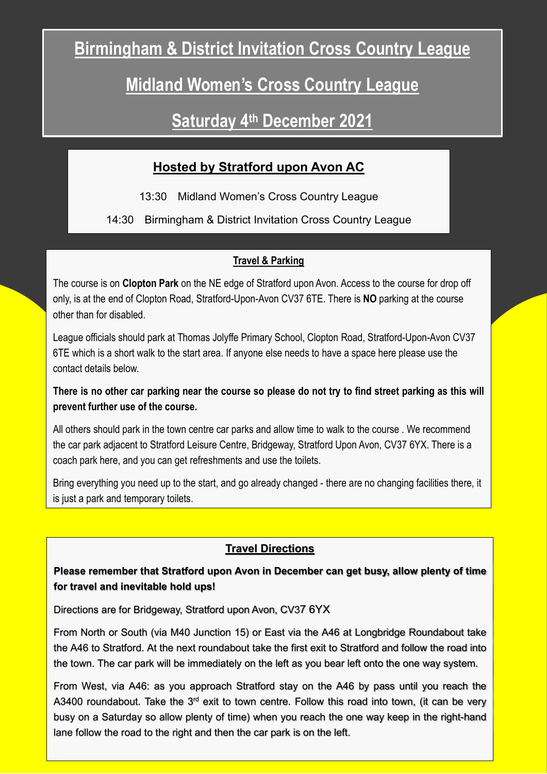# Birmingham & District Invitation Cross Country League

## Midland Women's Cross Country League

### Saturday 4th December 2021

### Hosted by Stratford upon Avon AC

13:30 Midland Women's Cross Country League

14:30 Birmingham & District Invitation Cross Country League

#### **Travel & Parking**

The course is on Clopton Park on the NE edge of Stratford upon Avon. Access to the course for drop off only, is at the end of Clopton Road, Stratford-Upon-Avon CV37 6TE. There is NO parking at the course other than for disabled.

League officials should park at Thomas Jolyffe Primary School, Clopton Road, Stratford-Upon-Avon CV37 6TE which is a short walk to the start area. If anyone else needs to have a space here please use the contact details below.

#### There is no other car parking near the course so please do not try to find street parking as this will prevent further use of the course.

All others should park in the town centre car parks and allow time to walk to the course . We recommend the car park adjacent to Stratford Leisure Centre, Bridgeway, Stratford Upon Avon, CV37 6YX. There is a coach park here, and you can get refreshments and use the toilets.

Bring everything you need up to the start, and go already changed - there are no changing facilities there, it is just a park and temporary toilets.

#### Travel Directions

#### Please remember that Stratford upon Avon in December can get busy, allow plenty of time for travel and inevitable hold ups!

Directions are for Bridgeway, Stratford upon Avon, CV37 6YX

From North or South (via M40 Junction 15) or East via the A46 at Longbridge Roundabout take the A46 to Stratford. At the next roundabout take the first exit to Stratford and follow the road into the town. The car park will be immediately on the left as you bear left onto the one way system.

From West, via A46: as you approach Stratford stay on the A46 by pass until you reach the A3400 roundabout. Take the  $3<sup>rd</sup>$  exit to town centre. Follow this road into town, (it can be very busy on a Saturday so allow plenty of time) when you reach the one way keep in the right-hand lane follow the road to the right and then the car park is on the left.